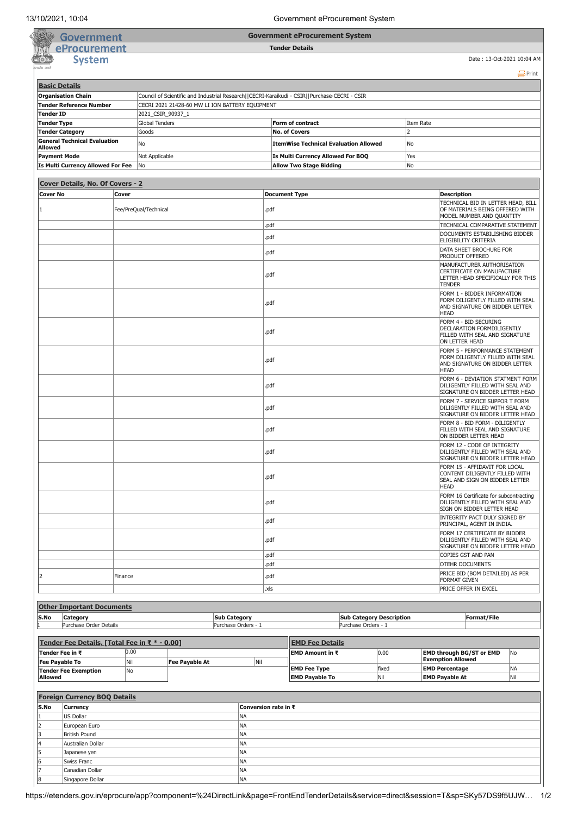**Government eProcurement System**

**Tender Details**

| overnme |
|---------|
| curen   |
| ystem   |
|         |

Date : 13-Oct-2021 10:04 AM

昌 [Print](javascript:void(0);)

| <b>Basic Details</b>                                                                                                      |                                               |                       |                                                 |                       |                               |                      |                                              |                                                                                                   |                                                                                                     |                                                                                                                       |     |
|---------------------------------------------------------------------------------------------------------------------------|-----------------------------------------------|-----------------------|-------------------------------------------------|-----------------------|-------------------------------|----------------------|----------------------------------------------|---------------------------------------------------------------------------------------------------|-----------------------------------------------------------------------------------------------------|-----------------------------------------------------------------------------------------------------------------------|-----|
| <b>Organisation Chain</b><br>Council of Scientific and Industrial Research  CECRI-Karaikudi - CSIR  Purchase-CECRI - CSIR |                                               |                       |                                                 |                       |                               |                      |                                              |                                                                                                   |                                                                                                     |                                                                                                                       |     |
| <b>Tender Reference Number</b>                                                                                            |                                               |                       | CECRI 2021 21428-60 MW LI ION BATTERY EQUIPMENT |                       |                               |                      |                                              |                                                                                                   |                                                                                                     |                                                                                                                       |     |
| <b>Tender ID</b>                                                                                                          |                                               | 2021_CSIR_90937_1     |                                                 |                       |                               |                      |                                              |                                                                                                   |                                                                                                     |                                                                                                                       |     |
| <b>Tender Type</b>                                                                                                        |                                               | <b>Global Tenders</b> |                                                 |                       | Form of contract<br>Item Rate |                      |                                              |                                                                                                   |                                                                                                     |                                                                                                                       |     |
|                                                                                                                           | <b>Tender Category</b>                        |                       | Goods                                           |                       |                               |                      | <b>No. of Covers</b>                         | 2                                                                                                 |                                                                                                     |                                                                                                                       |     |
|                                                                                                                           | <b>General Technical Evaluation</b>           |                       |                                                 |                       |                               |                      |                                              |                                                                                                   |                                                                                                     |                                                                                                                       |     |
| <b>Allowed</b>                                                                                                            |                                               |                       | No                                              |                       |                               |                      | <b>ItemWise Technical Evaluation Allowed</b> | No                                                                                                |                                                                                                     |                                                                                                                       |     |
| <b>Payment Mode</b>                                                                                                       |                                               |                       | Not Applicable                                  |                       |                               |                      | Is Multi Currency Allowed For BOQ            | Yes                                                                                               |                                                                                                     |                                                                                                                       |     |
|                                                                                                                           | Is Multi Currency Allowed For Fee             |                       | No                                              |                       |                               |                      | <b>Allow Two Stage Bidding</b>               |                                                                                                   | No                                                                                                  |                                                                                                                       |     |
|                                                                                                                           |                                               |                       |                                                 |                       |                               |                      |                                              |                                                                                                   |                                                                                                     |                                                                                                                       |     |
|                                                                                                                           | <b>Cover Details, No. Of Covers - 2</b>       |                       |                                                 |                       |                               |                      |                                              |                                                                                                   |                                                                                                     |                                                                                                                       |     |
|                                                                                                                           |                                               |                       |                                                 |                       |                               |                      |                                              |                                                                                                   |                                                                                                     |                                                                                                                       |     |
| <b>Cover No</b>                                                                                                           |                                               | Cover                 |                                                 |                       |                               | <b>Document Type</b> |                                              | <b>Description</b>                                                                                |                                                                                                     |                                                                                                                       |     |
|                                                                                                                           |                                               |                       | Fee/PreQual/Technical                           |                       |                               | .pdf                 |                                              |                                                                                                   |                                                                                                     | TECHNICAL BID IN LETTER HEAD, BILL<br>OF MATERIALS BEING OFFERED WITH                                                 |     |
|                                                                                                                           |                                               |                       |                                                 |                       |                               |                      |                                              |                                                                                                   |                                                                                                     | MODEL NUMBER AND QUANTITY                                                                                             |     |
|                                                                                                                           |                                               |                       |                                                 |                       |                               | .pdf                 |                                              |                                                                                                   |                                                                                                     | TECHNICAL COMPARATIVE STATEMENT                                                                                       |     |
|                                                                                                                           |                                               |                       |                                                 |                       |                               |                      |                                              |                                                                                                   |                                                                                                     | DOCUMENTS ESTABILISHING BIDDER                                                                                        |     |
|                                                                                                                           |                                               |                       |                                                 |                       | .pdf                          |                      |                                              |                                                                                                   | ELIGIBILITY CRITERIA                                                                                |                                                                                                                       |     |
|                                                                                                                           |                                               |                       |                                                 |                       |                               | .pdf                 |                                              |                                                                                                   |                                                                                                     | DATA SHEET BROCHURE FOR                                                                                               |     |
|                                                                                                                           |                                               |                       |                                                 |                       |                               |                      |                                              |                                                                                                   |                                                                                                     | PRODUCT OFFERED                                                                                                       |     |
|                                                                                                                           |                                               |                       |                                                 |                       |                               | .pdf                 |                                              |                                                                                                   |                                                                                                     | MANUFACTURER AUTHORISATION<br>CERTIFICATE ON MANUFACTURE<br>LETTER HEAD SPECIFICALLY FOR THIS                         |     |
|                                                                                                                           |                                               |                       |                                                 |                       |                               |                      |                                              |                                                                                                   |                                                                                                     | <b>TENDER</b><br>FORM 1 - BIDDER INFORMATION                                                                          |     |
|                                                                                                                           |                                               |                       |                                                 |                       |                               | .pdf                 |                                              |                                                                                                   |                                                                                                     | FORM DILIGENTLY FILLED WITH SEAL<br>AND SIGNATURE ON BIDDER LETTER<br><b>HEAD</b>                                     |     |
|                                                                                                                           |                                               |                       |                                                 |                       |                               | .pdf                 |                                              |                                                                                                   |                                                                                                     | FORM 4 - BID SECURING<br>DECLARATION FORMDILIGENTLY<br>FILLED WITH SEAL AND SIGNATURE<br>ON LETTER HEAD               |     |
|                                                                                                                           |                                               |                       |                                                 |                       |                               | .pdf                 |                                              |                                                                                                   |                                                                                                     | FORM 5 - PERFORMANCE STATEMENT<br>FORM DILIGENTLY FILLED WITH SEAL<br>AND SIGNATURE ON BIDDER LETTER                  |     |
|                                                                                                                           |                                               |                       |                                                 |                       |                               | .pdf                 |                                              |                                                                                                   |                                                                                                     | <b>HEAD</b><br>FORM 6 - DEVIATION STATMENT FORM<br>DILIGENTLY FILLED WITH SEAL AND<br>SIGNATURE ON BIDDER LETTER HEAD |     |
|                                                                                                                           |                                               |                       |                                                 |                       |                               | .pdf                 |                                              |                                                                                                   |                                                                                                     | FORM 7 - SERVICE SUPPOR T FORM<br>DILIGENTLY FILLED WITH SEAL AND<br>SIGNATURE ON BIDDER LETTER HEAD                  |     |
|                                                                                                                           |                                               |                       |                                                 | .pdf                  |                               |                      |                                              |                                                                                                   |                                                                                                     | FORM 8 - BID FORM - DILIGENTLY<br>FILLED WITH SEAL AND SIGNATURE<br>ON BIDDER LETTER HEAD                             |     |
|                                                                                                                           |                                               |                       |                                                 | .pdf                  |                               |                      |                                              | FORM 12 - CODE OF INTEGRITY<br>DILIGENTLY FILLED WITH SEAL AND<br>SIGNATURE ON BIDDER LETTER HEAD |                                                                                                     |                                                                                                                       |     |
|                                                                                                                           |                                               |                       |                                                 |                       |                               | .pdf                 |                                              | FORM 15 - AFFIDAVIT FOR LOCAL<br>CONTENT DILIGENTLY FILLED WITH<br>SEAL AND SIGN ON BIDDER LETTER |                                                                                                     |                                                                                                                       |     |
|                                                                                                                           |                                               |                       |                                                 |                       |                               | .pdf                 |                                              |                                                                                                   |                                                                                                     | <b>HEAD</b><br>FORM 16 Certificate for subcontracting<br>DILIGENTLY FILLED WITH SEAL AND                              |     |
|                                                                                                                           |                                               |                       |                                                 |                       |                               | .pdf                 |                                              |                                                                                                   |                                                                                                     | SIGN ON BIDDER LETTER HEAD<br>INTEGRITY PACT DULY SIGNED BY<br>PRINCIPAL, AGENT IN INDIA.                             |     |
|                                                                                                                           |                                               |                       |                                                 |                       | .pdf                          |                      |                                              |                                                                                                   | FORM 17 CERTIFICATE BY BIDDER<br>DILIGENTLY FILLED WITH SEAL AND<br>SIGNATURE ON BIDDER LETTER HEAD |                                                                                                                       |     |
|                                                                                                                           |                                               |                       |                                                 |                       |                               | .pdf                 |                                              |                                                                                                   |                                                                                                     | COPIES GST AND PAN                                                                                                    |     |
|                                                                                                                           |                                               |                       |                                                 |                       |                               | .pdf                 |                                              |                                                                                                   |                                                                                                     | OTEHR DOCUMENTS                                                                                                       |     |
| l2                                                                                                                        |                                               | Finance               |                                                 |                       |                               | .pdf                 |                                              |                                                                                                   |                                                                                                     | PRICE BID (BOM DETAILED) AS PER                                                                                       |     |
|                                                                                                                           |                                               |                       |                                                 |                       |                               |                      |                                              |                                                                                                   |                                                                                                     | FORMAT GIVEN                                                                                                          |     |
|                                                                                                                           |                                               |                       |                                                 |                       |                               | .xls                 |                                              |                                                                                                   |                                                                                                     | PRICE OFFER IN EXCEL                                                                                                  |     |
|                                                                                                                           |                                               |                       |                                                 |                       |                               |                      |                                              |                                                                                                   |                                                                                                     |                                                                                                                       |     |
|                                                                                                                           | <b>Other Important Documents</b>              |                       |                                                 |                       |                               |                      |                                              |                                                                                                   |                                                                                                     |                                                                                                                       |     |
| S.No                                                                                                                      | Category                                      |                       |                                                 |                       | <b>Sub Category</b>           |                      |                                              | <b>Sub Category Description</b>                                                                   |                                                                                                     | Format/File                                                                                                           |     |
|                                                                                                                           | Purchase Order Details                        |                       |                                                 |                       | Purchase Orders - 1           |                      | Purchase Orders - 1                          |                                                                                                   |                                                                                                     |                                                                                                                       |     |
|                                                                                                                           |                                               |                       |                                                 |                       |                               |                      |                                              |                                                                                                   |                                                                                                     |                                                                                                                       |     |
|                                                                                                                           | Tender Fee Details, [Total Fee in ₹ * - 0.00] |                       |                                                 |                       |                               |                      | <b>EMD Fee Details</b>                       |                                                                                                   |                                                                                                     |                                                                                                                       |     |
|                                                                                                                           | Tender Fee in ₹                               | 0.00                  |                                                 |                       |                               |                      | EMD Amount in ₹                              | 0.00                                                                                              |                                                                                                     | EMD through BG/ST or EMD                                                                                              | No  |
| <b>Fee Payable To</b>                                                                                                     |                                               | Nil                   |                                                 | <b>Fee Payable At</b> | Nil                           |                      |                                              |                                                                                                   |                                                                                                     | <b>Exemption Allowed</b>                                                                                              |     |
|                                                                                                                           | <b>Tender Fee Exemption</b>                   | No                    |                                                 |                       |                               |                      | <b>EMD Fee Type</b>                          | fixed                                                                                             |                                                                                                     | <b>EMD Percentage</b>                                                                                                 | NA  |
| <b>Allowed</b>                                                                                                            |                                               |                       |                                                 |                       |                               |                      | <b>EMD Payable To</b>                        | Nil                                                                                               |                                                                                                     | <b>EMD Payable At</b>                                                                                                 | Nil |
|                                                                                                                           |                                               |                       |                                                 |                       |                               |                      |                                              |                                                                                                   |                                                                                                     |                                                                                                                       |     |
|                                                                                                                           | <b>Foreign Currency BOQ Details</b>           |                       |                                                 |                       |                               |                      |                                              |                                                                                                   |                                                                                                     |                                                                                                                       |     |
| S.No                                                                                                                      | Currency                                      |                       |                                                 |                       | Conversion rate in ₹          |                      |                                              |                                                                                                   |                                                                                                     |                                                                                                                       |     |
|                                                                                                                           | US Dollar                                     |                       |                                                 |                       | <b>NA</b>                     |                      |                                              |                                                                                                   |                                                                                                     |                                                                                                                       |     |
| 2                                                                                                                         | European Euro                                 |                       |                                                 |                       | NA                            |                      |                                              |                                                                                                   |                                                                                                     |                                                                                                                       |     |
| $\overline{3}$                                                                                                            | <b>British Pound</b>                          |                       |                                                 |                       | <b>NA</b>                     |                      |                                              |                                                                                                   |                                                                                                     |                                                                                                                       |     |
| 4                                                                                                                         | Australian Dollar                             |                       |                                                 |                       | NA                            |                      |                                              |                                                                                                   |                                                                                                     |                                                                                                                       |     |
| 5                                                                                                                         | Japanese yen                                  |                       |                                                 | <b>NA</b>             |                               |                      |                                              |                                                                                                   |                                                                                                     |                                                                                                                       |     |
| $\overline{6}$                                                                                                            | Swiss Franc                                   |                       |                                                 | NA                    |                               |                      |                                              |                                                                                                   |                                                                                                     |                                                                                                                       |     |
| 17                                                                                                                        | Canadian Dollar                               |                       |                                                 |                       | <b>NA</b>                     |                      |                                              |                                                                                                   |                                                                                                     |                                                                                                                       |     |
| 8                                                                                                                         | Singapore Dollar                              |                       |                                                 | NA                    |                               |                      |                                              |                                                                                                   |                                                                                                     |                                                                                                                       |     |